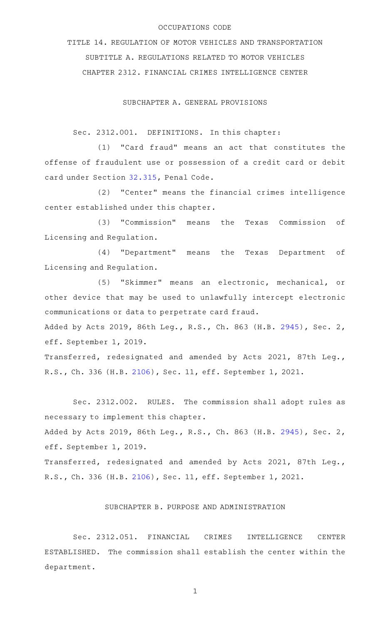## OCCUPATIONS CODE

TITLE 14. REGULATION OF MOTOR VEHICLES AND TRANSPORTATION SUBTITLE A. REGULATIONS RELATED TO MOTOR VEHICLES CHAPTER 2312. FINANCIAL CRIMES INTELLIGENCE CENTER

SUBCHAPTER A. GENERAL PROVISIONS

Sec. 2312.001. DEFINITIONS. In this chapter:

 $(1)$  "Card fraud" means an act that constitutes the offense of fraudulent use or possession of a credit card or debit card under Section [32.315](http://www.statutes.legis.state.tx.us/GetStatute.aspx?Code=PE&Value=32.315), Penal Code.

(2) "Center" means the financial crimes intelligence center established under this chapter.

(3) "Commission" means the Texas Commission of Licensing and Regulation.

(4) "Department" means the Texas Department of Licensing and Regulation.

(5) "Skimmer" means an electronic, mechanical, or other device that may be used to unlawfully intercept electronic communications or data to perpetrate card fraud.

Added by Acts 2019, 86th Leg., R.S., Ch. 863 (H.B. [2945](http://www.legis.state.tx.us/tlodocs/86R/billtext/html/HB02945F.HTM)), Sec. 2, eff. September 1, 2019.

Transferred, redesignated and amended by Acts 2021, 87th Leg., R.S., Ch. 336 (H.B. [2106](http://www.legis.state.tx.us/tlodocs/87R/billtext/html/HB02106F.HTM)), Sec. 11, eff. September 1, 2021.

Sec. 2312.002. RULES. The commission shall adopt rules as necessary to implement this chapter.

Added by Acts 2019, 86th Leg., R.S., Ch. 863 (H.B. [2945](http://www.legis.state.tx.us/tlodocs/86R/billtext/html/HB02945F.HTM)), Sec. 2, eff. September 1, 2019.

Transferred, redesignated and amended by Acts 2021, 87th Leg., R.S., Ch. 336 (H.B. [2106](http://www.legis.state.tx.us/tlodocs/87R/billtext/html/HB02106F.HTM)), Sec. 11, eff. September 1, 2021.

## SUBCHAPTER B. PURPOSE AND ADMINISTRATION

Sec. 2312.051. FINANCIAL CRIMES INTELLIGENCE CENTER ESTABLISHED. The commission shall establish the center within the department.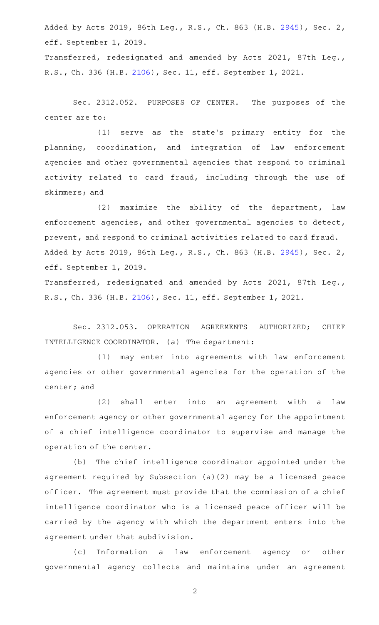Added by Acts 2019, 86th Leg., R.S., Ch. 863 (H.B. [2945](http://www.legis.state.tx.us/tlodocs/86R/billtext/html/HB02945F.HTM)), Sec. 2, eff. September 1, 2019.

Transferred, redesignated and amended by Acts 2021, 87th Leg., R.S., Ch. 336 (H.B. [2106](http://www.legis.state.tx.us/tlodocs/87R/billtext/html/HB02106F.HTM)), Sec. 11, eff. September 1, 2021.

Sec. 2312.052. PURPOSES OF CENTER. The purposes of the center are to:

(1) serve as the state's primary entity for the planning, coordination, and integration of law enforcement agencies and other governmental agencies that respond to criminal activity related to card fraud, including through the use of skimmers; and

 $(2)$  maximize the ability of the department, law enforcement agencies, and other governmental agencies to detect, prevent, and respond to criminal activities related to card fraud. Added by Acts 2019, 86th Leg., R.S., Ch. 863 (H.B. [2945](http://www.legis.state.tx.us/tlodocs/86R/billtext/html/HB02945F.HTM)), Sec. 2, eff. September 1, 2019.

Transferred, redesignated and amended by Acts 2021, 87th Leg., R.S., Ch. 336 (H.B. [2106](http://www.legis.state.tx.us/tlodocs/87R/billtext/html/HB02106F.HTM)), Sec. 11, eff. September 1, 2021.

Sec. 2312.053. OPERATION AGREEMENTS AUTHORIZED; CHIEF INTELLIGENCE COORDINATOR. (a) The department:

(1) may enter into agreements with law enforcement agencies or other governmental agencies for the operation of the center; and

(2) shall enter into an agreement with a law enforcement agency or other governmental agency for the appointment of a chief intelligence coordinator to supervise and manage the operation of the center.

(b) The chief intelligence coordinator appointed under the agreement required by Subsection (a)(2) may be a licensed peace officer. The agreement must provide that the commission of a chief intelligence coordinator who is a licensed peace officer will be carried by the agency with which the department enters into the agreement under that subdivision.

(c) Information a law enforcement agency or other governmental agency collects and maintains under an agreement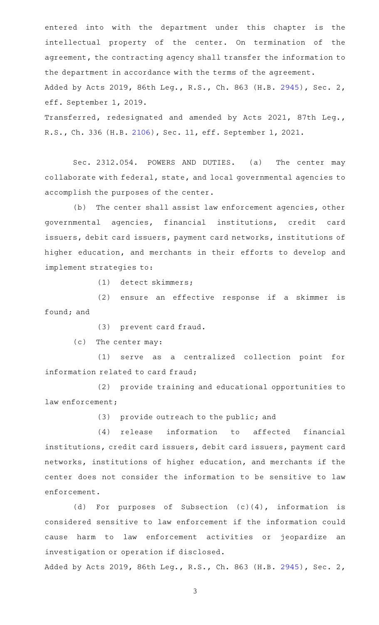entered into with the department under this chapter is the intellectual property of the center. On termination of the agreement, the contracting agency shall transfer the information to the department in accordance with the terms of the agreement. Added by Acts 2019, 86th Leg., R.S., Ch. 863 (H.B. [2945](http://www.legis.state.tx.us/tlodocs/86R/billtext/html/HB02945F.HTM)), Sec. 2, eff. September 1, 2019. Transferred, redesignated and amended by Acts 2021, 87th Leg.,

R.S., Ch. 336 (H.B. [2106](http://www.legis.state.tx.us/tlodocs/87R/billtext/html/HB02106F.HTM)), Sec. 11, eff. September 1, 2021.

Sec. 2312.054. POWERS AND DUTIES. (a) The center may collaborate with federal, state, and local governmental agencies to accomplish the purposes of the center.

(b) The center shall assist law enforcement agencies, other governmental agencies, financial institutions, credit card issuers, debit card issuers, payment card networks, institutions of higher education, and merchants in their efforts to develop and implement strategies to:

 $(1)$  detect skimmers;

(2) ensure an effective response if a skimmer is found; and

(3) prevent card fraud.

 $(c)$  The center may:

(1) serve as a centralized collection point for information related to card fraud;

(2) provide training and educational opportunities to law enforcement;

 $(3)$  provide outreach to the public; and

(4) release information to affected financial institutions, credit card issuers, debit card issuers, payment card networks, institutions of higher education, and merchants if the center does not consider the information to be sensitive to law enforcement.

(d) For purposes of Subsection  $(c)(4)$ , information is considered sensitive to law enforcement if the information could cause harm to law enforcement activities or jeopardize an investigation or operation if disclosed.

Added by Acts 2019, 86th Leg., R.S., Ch. 863 (H.B. [2945](http://www.legis.state.tx.us/tlodocs/86R/billtext/html/HB02945F.HTM)), Sec. 2,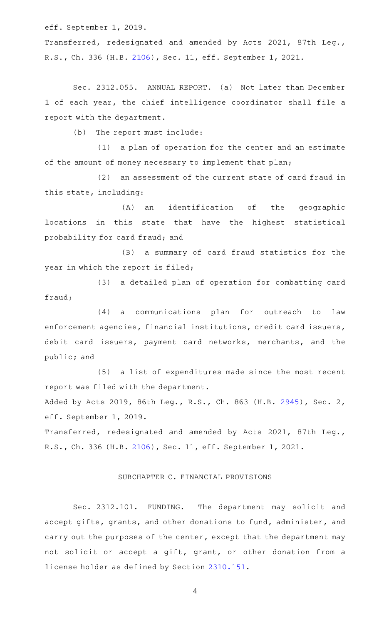eff. September 1, 2019.

Transferred, redesignated and amended by Acts 2021, 87th Leg., R.S., Ch. 336 (H.B. [2106](http://www.legis.state.tx.us/tlodocs/87R/billtext/html/HB02106F.HTM)), Sec. 11, eff. September 1, 2021.

Sec. 2312.055. ANNUAL REPORT. (a) Not later than December 1 of each year, the chief intelligence coordinator shall file a report with the department.

(b) The report must include:

(1) a plan of operation for the center and an estimate of the amount of money necessary to implement that plan;

(2) an assessment of the current state of card fraud in this state, including:

(A) an identification of the geographic locations in this state that have the highest statistical probability for card fraud; and

(B) a summary of card fraud statistics for the year in which the report is filed;

(3) a detailed plan of operation for combatting card fraud;

 $(4)$  a communications plan for outreach to law enforcement agencies, financial institutions, credit card issuers, debit card issuers, payment card networks, merchants, and the public; and

(5) a list of expenditures made since the most recent report was filed with the department.

Added by Acts 2019, 86th Leg., R.S., Ch. 863 (H.B. [2945](http://www.legis.state.tx.us/tlodocs/86R/billtext/html/HB02945F.HTM)), Sec. 2, eff. September 1, 2019.

Transferred, redesignated and amended by Acts 2021, 87th Leg., R.S., Ch. 336 (H.B. [2106](http://www.legis.state.tx.us/tlodocs/87R/billtext/html/HB02106F.HTM)), Sec. 11, eff. September 1, 2021.

## SUBCHAPTER C. FINANCIAL PROVISIONS

Sec. 2312.101. FUNDING. The department may solicit and accept gifts, grants, and other donations to fund, administer, and carry out the purposes of the center, except that the department may not solicit or accept a gift, grant, or other donation from a license holder as defined by Section [2310.151.](http://www.statutes.legis.state.tx.us/GetStatute.aspx?Code=OC&Value=2310.151)